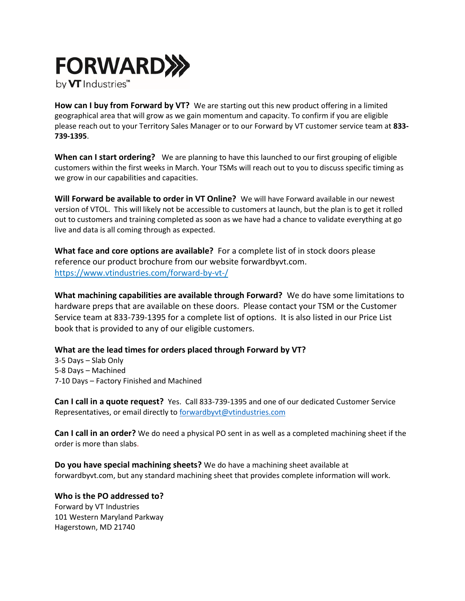

**How can I buy from Forward by VT?** We are starting out this new product offering in a limited geographical area that will grow as we gain momentum and capacity. To confirm if you are eligible please reach out to your Territory Sales Manager or to our Forward by VT customer service team at **833- 739-1395**.

**When can I start ordering?** We are planning to have this launched to our first grouping of eligible customers within the first weeks in March. Your TSMs will reach out to you to discuss specific timing as we grow in our capabilities and capacities.

**Will Forward be available to order in VT Online?** We will have Forward available in our newest version of VTOL. This will likely not be accessible to customers at launch, but the plan is to get it rolled out to customers and training completed as soon as we have had a chance to validate everything at go live and data is all coming through as expected.

**What face and core options are available?** For a complete list of in stock doors please reference our product brochure from our website forwardbyvt.com. <https://www.vtindustries.com/forward-by-vt-/>

**What machining capabilities are available through Forward?** We do have some limitations to hardware preps that are available on these doors. Please contact your TSM or the Customer Service team at 833-739-1395 for a complete list of options. It is also listed in our Price List book that is provided to any of our eligible customers.

## **What are the lead times for orders placed through Forward by VT?**

3-5 Days – Slab Only 5-8 Days – Machined 7-10 Days – Factory Finished and Machined

**Can I call in a quote request?** Yes. Call 833-739-1395 and one of our dedicated Customer Service Representatives, or email directly to [forwardbyvt@vtindustries.com](mailto:forwardbyvt@vtindustries.com) 

**Can I call in an order?** We do need a physical PO sent in as well as a completed machining sheet if the order is more than slabs.

**Do you have special machining sheets?** We do have a machining sheet available at forwardbyvt.com, but any standard machining sheet that provides complete information will work.

**Who is the PO addressed to?**  Forward by VT Industries 101 Western Maryland Parkway Hagerstown, MD 21740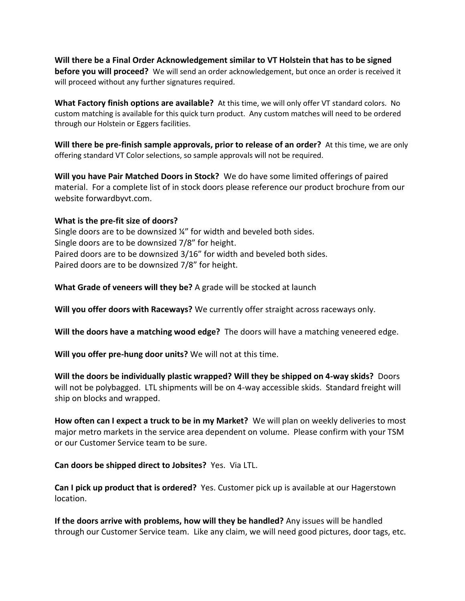**Will there be a Final Order Acknowledgement similar to VT Holstein that has to be signed before you will proceed?** We will send an order acknowledgement, but once an order is received it will proceed without any further signatures required.

**What Factory finish options are available?** At this time, we will only offer VT standard colors. No custom matching is available for this quick turn product. Any custom matches will need to be ordered through our Holstein or Eggers facilities.

**Will there be pre-finish sample approvals, prior to release of an order?** At this time, we are only offering standard VT Color selections, so sample approvals will not be required.

**Will you have Pair Matched Doors in Stock?** We do have some limited offerings of paired material. For a complete list of in stock doors please reference our product brochure from our website forwardbyvt.com.

## **What is the pre-fit size of doors?**

Single doors are to be downsized ¼" for width and beveled both sides. Single doors are to be downsized 7/8" for height. Paired doors are to be downsized 3/16" for width and beveled both sides. Paired doors are to be downsized 7/8" for height.

**What Grade of veneers will they be?** A grade will be stocked at launch

**Will you offer doors with Raceways?** We currently offer straight across raceways only.

**Will the doors have a matching wood edge?** The doors will have a matching veneered edge.

**Will you offer pre-hung door units?** We will not at this time.

**Will the doors be individually plastic wrapped? Will they be shipped on 4-way skids?** Doors will not be polybagged. LTL shipments will be on 4-way accessible skids. Standard freight will ship on blocks and wrapped.

**How often can I expect a truck to be in my Market?** We will plan on weekly deliveries to most major metro markets in the service area dependent on volume. Please confirm with your TSM or our Customer Service team to be sure.

**Can doors be shipped direct to Jobsites?** Yes. Via LTL.

**Can I pick up product that is ordered?** Yes. Customer pick up is available at our Hagerstown location.

**If the doors arrive with problems, how will they be handled?** Any issues will be handled through our Customer Service team. Like any claim, we will need good pictures, door tags, etc.